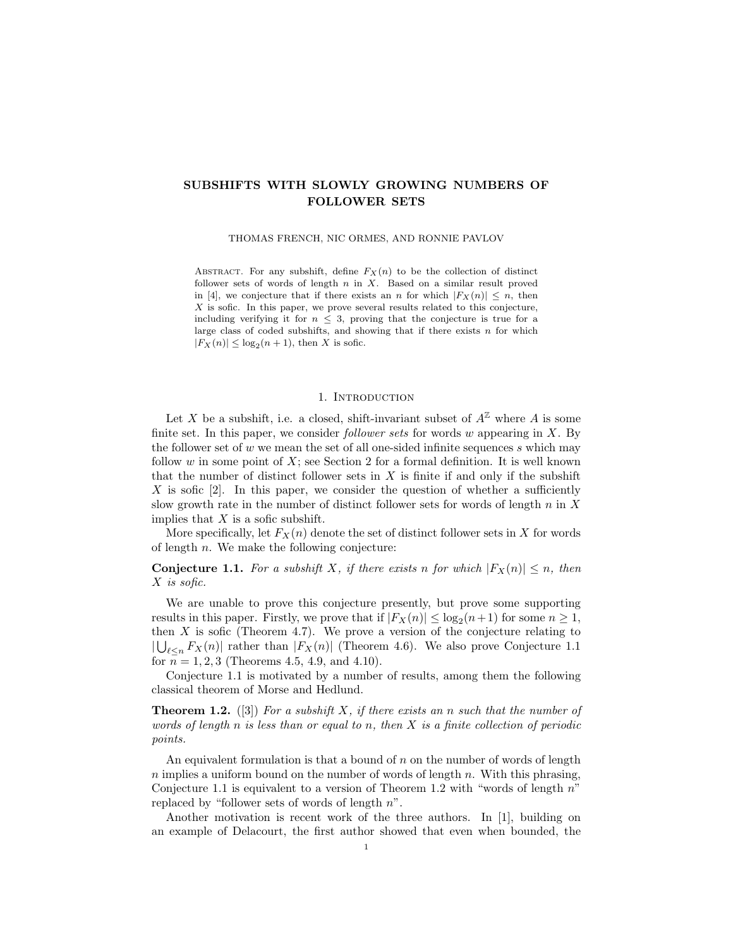# SUBSHIFTS WITH SLOWLY GROWING NUMBERS OF FOLLOWER SETS

THOMAS FRENCH, NIC ORMES, AND RONNIE PAVLOV

ABSTRACT. For any subshift, define  $F_X(n)$  to be the collection of distinct follower sets of words of length  $n$  in  $X$ . Based on a similar result proved in [4], we conjecture that if there exists an n for which  $|F_X(n)| \leq n$ , then  $X$  is sofic. In this paper, we prove several results related to this conjecture, including verifying it for  $n \leq 3$ , proving that the conjecture is true for a large class of coded subshifts, and showing that if there exists  $n$  for which  $|F_X(n)| \leq \log_2(n+1)$ , then X is sofic.

#### 1. INTRODUCTION

Let X be a subshift, i.e. a closed, shift-invariant subset of  $A^{\mathbb{Z}}$  where A is some finite set. In this paper, we consider *follower sets* for words  $w$  appearing in  $X$ . By the follower set of  $w$  we mean the set of all one-sided infinite sequences  $s$  which may follow  $w$  in some point of  $X$ ; see Section 2 for a formal definition. It is well known that the number of distinct follower sets in  $X$  is finite if and only if the subshift X is sofic  $[2]$ . In this paper, we consider the question of whether a sufficiently slow growth rate in the number of distinct follower sets for words of length  $n$  in  $X$ implies that  $X$  is a sofic subshift.

More specifically, let  $F_X(n)$  denote the set of distinct follower sets in X for words of length  $n$ . We make the following conjecture:

**Conjecture 1.1.** For a subshift X, if there exists n for which  $|F_X(n)| \le n$ , then X is sofic.

We are unable to prove this conjecture presently, but prove some supporting results in this paper. Firstly, we prove that if  $|F_X(n)| \leq \log_2(n+1)$  for some  $n \geq 1$ , then  $X$  is sofic (Theorem 4.7). We prove a version of the conjecture relating to  $|\bigcup_{\ell \leq n} F_X(n)|$  rather than  $|F_X(n)|$  (Theorem 4.6). We also prove Conjecture 1.1 for  $n = 1, 2, 3$  (Theorems 4.5, 4.9, and 4.10).

Conjecture 1.1 is motivated by a number of results, among them the following classical theorem of Morse and Hedlund.

**Theorem 1.2.** ([3]) For a subshift X, if there exists an n such that the number of words of length n is less than or equal to n, then  $X$  is a finite collection of periodic points.

An equivalent formulation is that a bound of  $n$  on the number of words of length n implies a uniform bound on the number of words of length n. With this phrasing, Conjecture 1.1 is equivalent to a version of Theorem 1.2 with "words of length  $n$ " replaced by "follower sets of words of length n".

Another motivation is recent work of the three authors. In [1], building on an example of Delacourt, the first author showed that even when bounded, the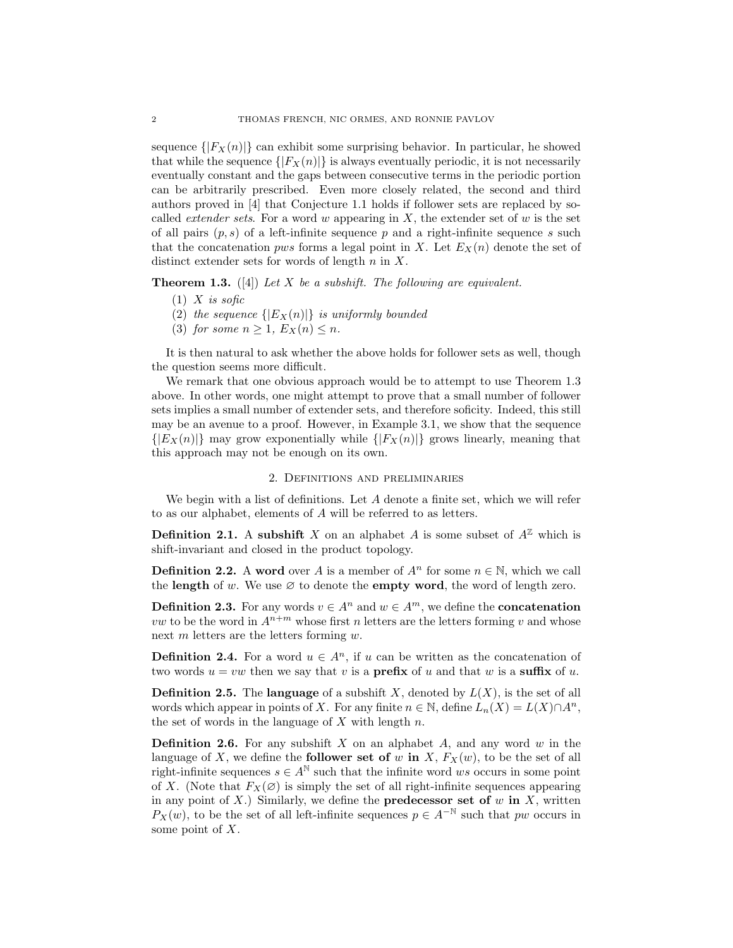sequence  $\{ |F_X(n)| \}$  can exhibit some surprising behavior. In particular, he showed that while the sequence  $\{F_X(n)\}\$ is always eventually periodic, it is not necessarily eventually constant and the gaps between consecutive terms in the periodic portion can be arbitrarily prescribed. Even more closely related, the second and third authors proved in [4] that Conjecture 1.1 holds if follower sets are replaced by socalled *extender sets*. For a word w appearing in  $X$ , the extender set of w is the set of all pairs  $(p, s)$  of a left-infinite sequence p and a right-infinite sequence s such that the concatenation *pws* forms a legal point in X. Let  $E_X(n)$  denote the set of distinct extender sets for words of length  $n$  in  $X$ .

**Theorem 1.3.** ([4]) Let X be a subshift. The following are equivalent.

- $(1)$  X is sofic
- (2) the sequence  $\{ |E_X(n)| \}$  is uniformly bounded
- (3) for some  $n \geq 1$ ,  $E_X(n) \leq n$ .

It is then natural to ask whether the above holds for follower sets as well, though the question seems more difficult.

We remark that one obvious approach would be to attempt to use Theorem 1.3 above. In other words, one might attempt to prove that a small number of follower sets implies a small number of extender sets, and therefore soficity. Indeed, this still may be an avenue to a proof. However, in Example 3.1, we show that the sequence  $\{|E_X(n)|\}$  may grow exponentially while  $\{|F_X(n)|\}$  grows linearly, meaning that this approach may not be enough on its own.

#### 2. Definitions and preliminaries

We begin with a list of definitions. Let  $A$  denote a finite set, which we will refer to as our alphabet, elements of A will be referred to as letters.

**Definition 2.1.** A subshift X on an alphabet A is some subset of  $A^{\mathbb{Z}}$  which is shift-invariant and closed in the product topology.

**Definition 2.2.** A word over A is a member of  $A^n$  for some  $n \in \mathbb{N}$ , which we call the length of w. We use  $\varnothing$  to denote the empty word, the word of length zero.

**Definition 2.3.** For any words  $v \in A^n$  and  $w \in A^m$ , we define the **concatenation** *vw* to be the word in  $A^{n+m}$  whose first *n* letters are the letters forming *v* and whose next m letters are the letters forming w.

**Definition 2.4.** For a word  $u \in A^n$ , if u can be written as the concatenation of two words  $u = vw$  then we say that v is a **prefix** of u and that w is a **suffix** of u.

**Definition 2.5.** The language of a subshift X, denoted by  $L(X)$ , is the set of all words which appear in points of X. For any finite  $n \in \mathbb{N}$ , define  $L_n(X) = L(X) \cap A^n$ , the set of words in the language of  $X$  with length  $n$ .

**Definition 2.6.** For any subshift X on an alphabet A, and any word  $w$  in the language of X, we define the **follower set of** w in X,  $F_X(w)$ , to be the set of all right-infinite sequences  $s \in A^{\mathbb{N}}$  such that the infinite word ws occurs in some point of X. (Note that  $F_X(\emptyset)$  is simply the set of all right-infinite sequences appearing in any point of  $X$ .) Similarly, we define the **predecessor set of**  $w$  in  $X$ , written  $P_X(w)$ , to be the set of all left-infinite sequences  $p \in A^{-\mathbb{N}}$  such that pw occurs in some point of  $X$ .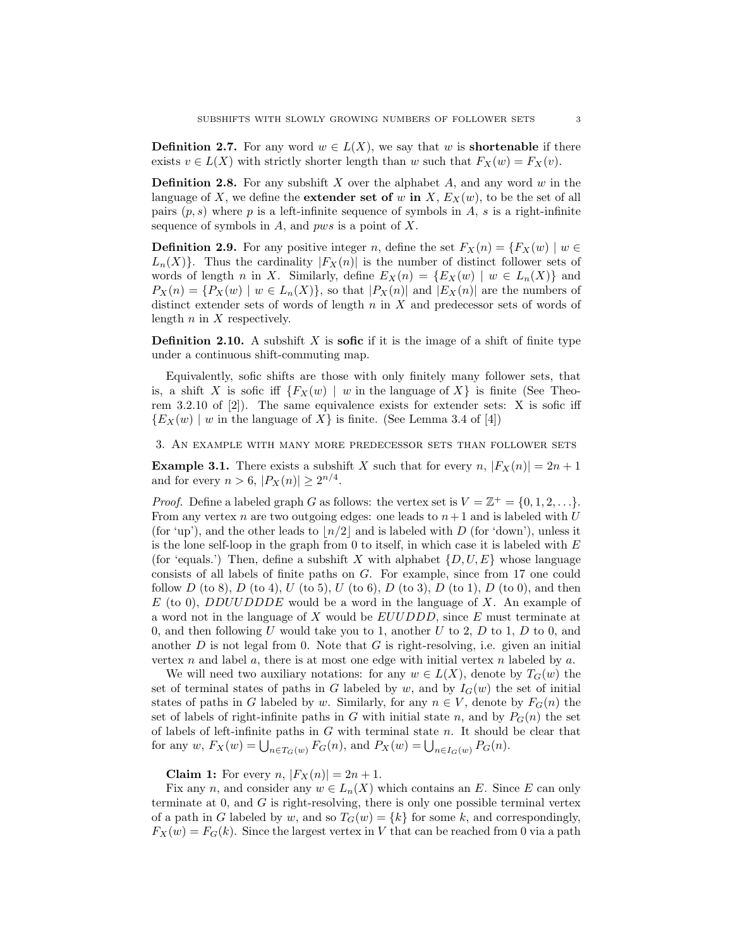**Definition 2.7.** For any word  $w \in L(X)$ , we say that w is **shortenable** if there exists  $v \in L(X)$  with strictly shorter length than w such that  $F_X(w) = F_X(v)$ .

**Definition 2.8.** For any subshift X over the alphabet  $A$ , and any word  $w$  in the language of X, we define the **extender set of** w in X,  $E_X(w)$ , to be the set of all pairs  $(p, s)$  where p is a left-infinite sequence of symbols in A, s is a right-infinite sequence of symbols in  $A$ , and pws is a point of  $X$ .

**Definition 2.9.** For any positive integer n, define the set  $F_X(n) = \{F_X(w) \mid w \in$  $L_n(X)$ . Thus the cardinality  $|F_X(n)|$  is the number of distinct follower sets of words of length n in X. Similarly, define  $E_X(n) = \{E_X(w) | w \in L_n(X)\}\$ and  $P_X(n) = \{P_X(w) \mid w \in L_n(X)\}\$ , so that  $|P_X(n)|$  and  $|E_X(n)|$  are the numbers of distinct extender sets of words of length  $n$  in  $X$  and predecessor sets of words of length  $n$  in  $X$  respectively.

**Definition 2.10.** A subshift  $X$  is **sofic** if it is the image of a shift of finite type under a continuous shift-commuting map.

Equivalently, sofic shifts are those with only finitely many follower sets, that is, a shift X is sofic iff  $\{F_X(w) \mid w \text{ in the language of } X\}$  is finite (See Theorem 3.2.10 of [2]). The same equivalence exists for extender sets: X is sofic iff  ${E_X(w) \mid w$  in the language of X is finite. (See Lemma 3.4 of [4])

3. An example with many more predecessor sets than follower sets

**Example 3.1.** There exists a subshift X such that for every n,  $|F_X(n)| = 2n + 1$ and for every  $n > 6$ ,  $|P_X(n)| \ge 2^{n/4}$ .

*Proof.* Define a labeled graph G as follows: the vertex set is  $V = \mathbb{Z}^+ = \{0, 1, 2, \ldots\}$ . From any vertex n are two outgoing edges: one leads to  $n+1$  and is labeled with U (for 'up'), and the other leads to  $\lfloor n/2 \rfloor$  and is labeled with D (for 'down'), unless it is the lone self-loop in the graph from 0 to itself, in which case it is labeled with  $E$ (for 'equals.') Then, define a subshift X with alphabet  $\{D, U, E\}$  whose language consists of all labels of finite paths on G. For example, since from 17 one could follow D (to 8), D (to 4), U (to 5), U (to 6), D (to 3), D (to 1), D (to 0), and then  $E$  (to 0), *DDUUDDDE* would be a word in the language of X. An example of a word not in the language of  $X$  would be  $EUUDDD$ , since  $E$  must terminate at 0, and then following U would take you to 1, another U to 2,  $D$  to 1,  $D$  to 0, and another  $D$  is not legal from 0. Note that  $G$  is right-resolving, i.e. given an initial vertex n and label a, there is at most one edge with initial vertex n labeled by a.

We will need two auxiliary notations: for any  $w \in L(X)$ , denote by  $T_G(w)$  the set of terminal states of paths in G labeled by w, and by  $I_G(w)$  the set of initial states of paths in G labeled by w. Similarly, for any  $n \in V$ , denote by  $F_G(n)$  the set of labels of right-infinite paths in G with initial state n, and by  $P_G(n)$  the set of labels of left-infinite paths in  $G$  with terminal state  $n$ . It should be clear that for any  $w$ ,  $F_X(w) = \bigcup_{n \in T_G(w)} F_G(n)$ , and  $P_X(w) = \bigcup_{n \in I_G(w)} P_G(n)$ .

**Claim 1:** For every *n*,  $|F_X(n)| = 2n + 1$ .

Fix any n, and consider any  $w \in L_n(X)$  which contains an E. Since E can only terminate at  $0$ , and  $G$  is right-resolving, there is only one possible terminal vertex of a path in G labeled by w, and so  $T_G(w) = \{k\}$  for some k, and correspondingly,  $F_X(w) = F_G(k)$ . Since the largest vertex in V that can be reached from 0 via a path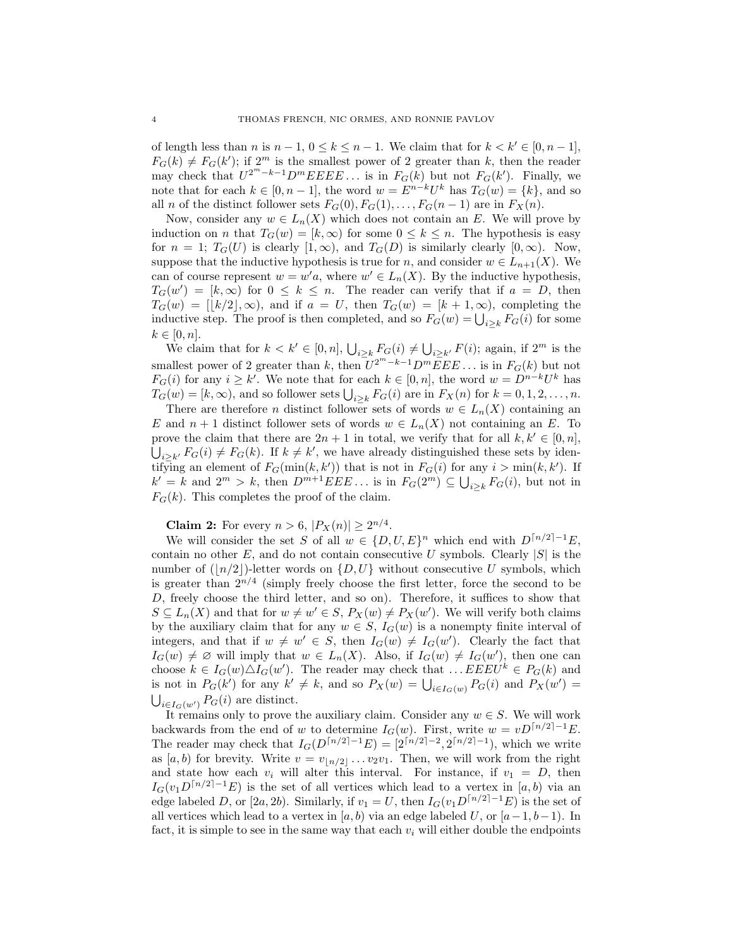of length less than n is  $n-1$ ,  $0 \le k \le n-1$ . We claim that for  $k < k' \in [0, n-1]$ ,  $F_G(k) \neq F_G(k')$ ; if  $2^m$  is the smallest power of 2 greater than k, then the reader may check that  $U^{2^m-k-1}D^mEEEE...$  is in  $F_G(k)$  but not  $F_G(k')$ . Finally, we note that for each  $k \in [0, n-1]$ , the word  $w = E^{n-k}U^k$  has  $T_G(w) = \{k\}$ , and so all n of the distinct follower sets  $F_G(0), F_G(1), \ldots, F_G(n-1)$  are in  $F_X(n)$ .

Now, consider any  $w \in L_n(X)$  which does not contain an E. We will prove by induction on *n* that  $T_G(w) = [k, \infty)$  for some  $0 \leq k \leq n$ . The hypothesis is easy for  $n = 1$ ;  $T_G(U)$  is clearly  $[1, \infty)$ , and  $T_G(D)$  is similarly clearly  $[0, \infty)$ . Now, suppose that the inductive hypothesis is true for n, and consider  $w \in L_{n+1}(X)$ . We can of course represent  $w = w' a$ , where  $w' \in L_n(X)$ . By the inductive hypothesis,  $T_G(w') = [k, \infty)$  for  $0 \leq k \leq n$ . The reader can verify that if  $a = D$ , then  $T_G(w) = |k/2|, \infty$ , and if  $a = U$ , then  $T_G(w) = [k + 1, \infty)$ , completing the inductive step. The proof is then completed, and so  $F_G(w) = \bigcup_{i \geq k} F_G(i)$  for some  $k \in [0, n]$ .

We claim that for  $k < k' \in [0, n]$ ,  $\bigcup_{i \geq k} F_G(i) \neq \bigcup_{i \geq k'} F(i)$ ; again, if  $2^m$  is the smallest power of 2 greater than k, then  $U^{2^m-k-1}D^m\overline{E}EE...$  is in  $F_G(k)$  but not  $F_G(i)$  for any  $i \geq k'$ . We note that for each  $k \in [0, n]$ , the word  $w = D^{n-k}U^k$  has  $T_G(w) = [k, \infty)$ , and so follower sets  $\bigcup_{i \geq k} F_G(i)$  are in  $F_X(n)$  for  $k = 0, 1, 2, \ldots, n$ .

There are therefore n distinct follower sets of words  $w \in L_n(X)$  containing an E and  $n+1$  distinct follower sets of words  $w \in L_n(X)$  not containing an E. To prove the claim that there are  $2n + 1$  in total, we verify that for all  $k, k' \in [0, n],$  $\bigcup_{i\geq k'} F_G(i) \neq F_G(k)$ . If  $k \neq k'$ , we have already distinguished these sets by identifying an element of  $F_G(\min(k, k'))$  that is not in  $F_G(i)$  for any  $i > \min(k, k')$ . If  $k' = k$  and  $2^m > k$ , then  $D^{m+1}EEE...$  is in  $F_G(2^m) \subseteq \bigcup_{i \geq k} F_G(i)$ , but not in  $F_G(k)$ . This completes the proof of the claim.

**Claim 2:** For every  $n > 6$ ,  $|P_X(n)| \ge 2^{n/4}$ .

We will consider the set S of all  $w \in \{D, U, E\}^n$  which end with  $D^{[n/2]-1}E$ , contain no other E, and do not contain consecutive U symbols. Clearly  $|S|$  is the number of  $(|n/2|)$ -letter words on  $\{D, U\}$  without consecutive U symbols, which is greater than  $2^{n/4}$  (simply freely choose the first letter, force the second to be D, freely choose the third letter, and so on). Therefore, it suffices to show that  $S \subseteq L_n(X)$  and that for  $w \neq w' \in S$ ,  $P_X(w) \neq P_X(w')$ . We will verify both claims by the auxiliary claim that for any  $w \in S$ ,  $I_G(w)$  is a nonempty finite interval of integers, and that if  $w \neq w' \in S$ , then  $I_G(w) \neq I_G(w')$ . Clearly the fact that  $I_G(w) \neq \emptyset$  will imply that  $w \in L_n(X)$ . Also, if  $I_G(w) \neq I_G(w')$ , then one can choose  $k \in I_G(w) \triangle I_G(w')$ . The reader may check that  $\dots EEEU^k \in P_G(k)$  and is not in  $P_G(k')$  for any  $k' \neq k$ , and so  $P_X(w) = \bigcup_{i \in I_G(w)} P_G(i)$  and  $P_X(w') =$  $\bigcup_{i\in I_G(w')} P_G(i)$  are distinct.

It remains only to prove the auxiliary claim. Consider any  $w \in S$ . We will work backwards from the end of w to determine  $I_G(w)$ . First, write  $w = vD^{[n/2]-1}E$ . The reader may check that  $I_G(D^{n/2-1}E) = [2^{n/2-2}, 2^{n/2-1}],$  which we write as  $[a, b]$  for brevity. Write  $v = v_{n/2}, \ldots v_2v_1$ . Then, we will work from the right and state how each  $v_i$  will alter this interval. For instance, if  $v_1 = D$ , then  $I_G(v_1D^{[n/2]-1}E)$  is the set of all vertices which lead to a vertex in [a, b) via an edge labeled D, or [2a, 2b). Similarly, if  $v_1 = U$ , then  $I_G(v_1D^{\lceil n/2 \rceil-1}E)$  is the set of all vertices which lead to a vertex in [a, b) via an edge labeled U, or  $[a-1, b-1]$ . In fact, it is simple to see in the same way that each  $v_i$  will either double the endpoints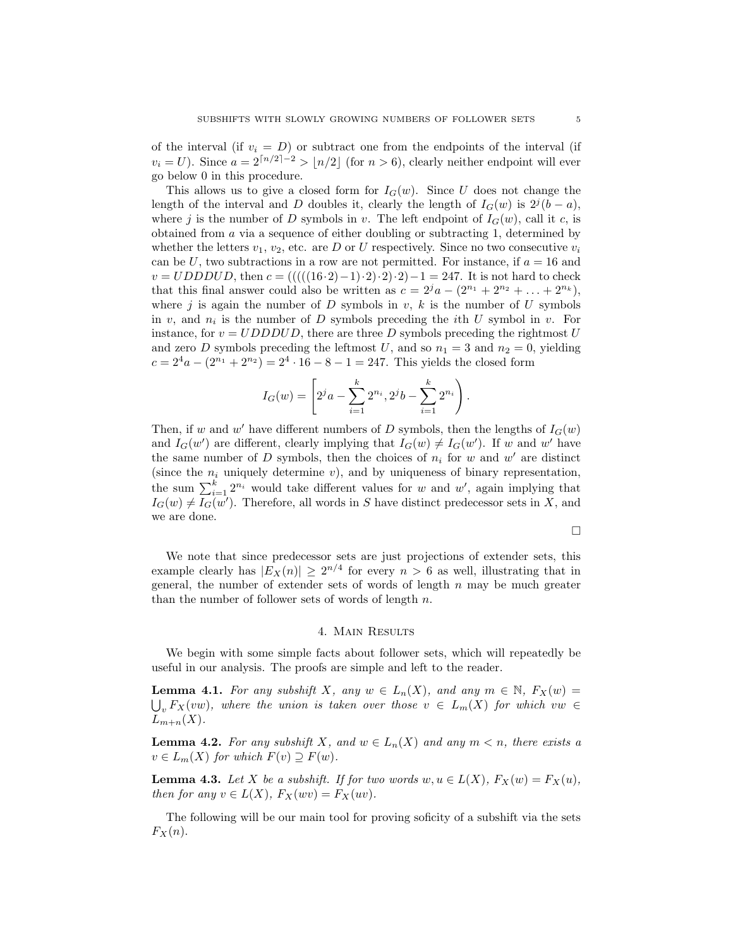of the interval (if  $v_i = D$ ) or subtract one from the endpoints of the interval (if  $v_i = U$ ). Since  $a = 2\lceil n/2 \rceil - 2 > \lceil n/2 \rceil$  (for  $n > 6$ ), clearly neither endpoint will ever go below 0 in this procedure.

This allows us to give a closed form for  $I_G(w)$ . Since U does not change the length of the interval and D doubles it, clearly the length of  $I_G(w)$  is  $2^j(b-a)$ , where j is the number of D symbols in v. The left endpoint of  $I_G(w)$ , call it c, is obtained from a via a sequence of either doubling or subtracting 1, determined by whether the letters  $v_1, v_2$ , etc. are D or U respectively. Since no two consecutive  $v_i$ can be U, two subtractions in a row are not permitted. For instance, if  $a = 16$  and  $v = UDDDUD$ , then  $c = (((((16·2)-1)\cdot 2)\cdot 2)\cdot 2)-1 = 247$ . It is not hard to check that this final answer could also be written as  $c = 2^j a - (2^{n_1} + 2^{n_2} + \ldots + 2^{n_k}),$ where j is again the number of D symbols in  $v, k$  is the number of U symbols in  $v$ , and  $n_i$  is the number of D symbols preceding the *i*th U symbol in  $v$ . For instance, for  $v = UDDDUD$ , there are three D symbols preceding the rightmost U and zero D symbols preceding the leftmost U, and so  $n_1 = 3$  and  $n_2 = 0$ , yielding  $c = 2<sup>4</sup>a - (2<sup>n<sub>1</sub></sup> + 2<sup>n<sub>2</sub></sup>) = 2<sup>4</sup> \cdot 16 - 8 - 1 = 247$ . This yields the closed form

$$
I_G(w) = \left[2^j a - \sum_{i=1}^k 2^{n_i}, 2^j b - \sum_{i=1}^k 2^{n_i}\right).
$$

Then, if w and w' have different numbers of D symbols, then the lengths of  $I_G(w)$ and  $I_G(w')$  are different, clearly implying that  $I_G(w) \neq I_G(w')$ . If w and w' have the same number of  $D$  symbols, then the choices of  $n_i$  for  $w$  and  $w'$  are distinct (since the  $n_i$  uniquely determine v), and by uniqueness of binary representation, the sum  $\sum_{i=1}^{k} 2^{n_i}$  would take different values for w and w', again implying that  $I_G(w) \neq I_G(w')$ . Therefore, all words in S have distinct predecessor sets in X, and we are done.

$$
\Box
$$

We note that since predecessor sets are just projections of extender sets, this example clearly has  $|E_X(n)| \ge 2^{n/4}$  for every  $n > 6$  as well, illustrating that in general, the number of extender sets of words of length  $n$  may be much greater than the number of follower sets of words of length  $n$ .

# 4. Main Results

We begin with some simple facts about follower sets, which will repeatedly be useful in our analysis. The proofs are simple and left to the reader.

**Lemma 4.1.** For any subshift X, any  $w \in L_n(X)$ , and any  $m \in \mathbb{N}$ ,  $F_X(w) =$  $\bigcup_{v} F_X(vw)$ , where the union is taken over those  $v \in L_m(X)$  for which  $vw \in$  $L_{m+n}(X)$ .

**Lemma 4.2.** For any subshift X, and  $w \in L_n(X)$  and any  $m < n$ , there exists a  $v \in L_m(X)$  for which  $F(v) \supseteq F(w)$ .

**Lemma 4.3.** Let X be a subshift. If for two words  $w, u \in L(X)$ ,  $F_X(w) = F_X(u)$ , then for any  $v \in L(X)$ ,  $F_X(wv) = F_X(uv)$ .

The following will be our main tool for proving soficity of a subshift via the sets  $F_X(n)$ .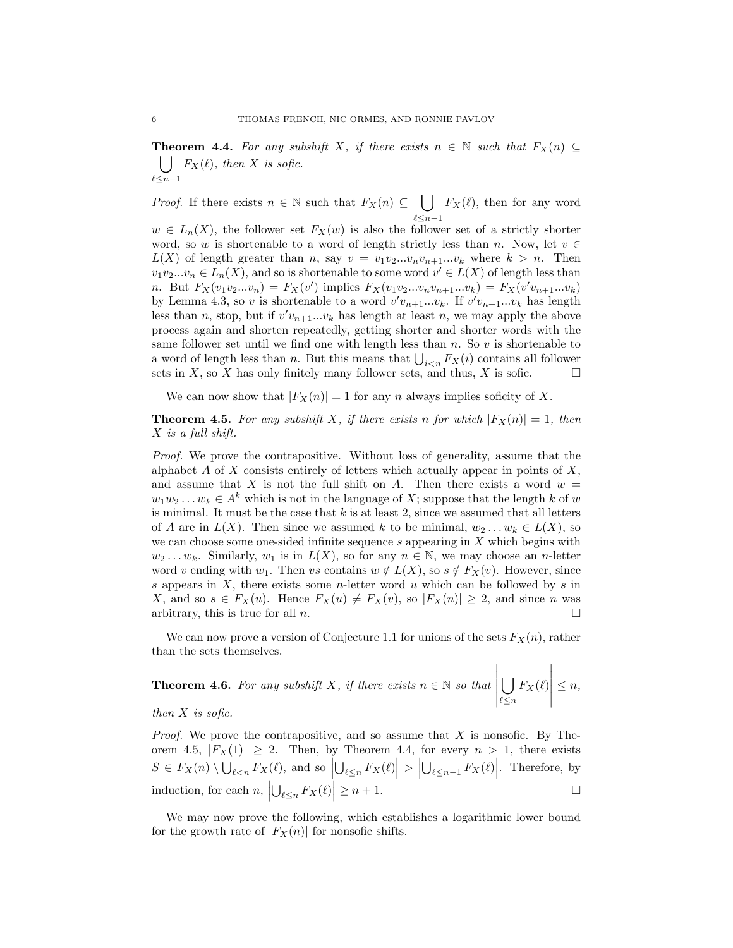**Theorem 4.4.** For any subshift X, if there exists  $n \in \mathbb{N}$  such that  $F_X(n) \subseteq$  $\bigcup$   $F_X(\ell)$ , then X is sofic.  $\ell\!\leq\!n\!-\!1$ 

*Proof.* If there exists  $n \in \mathbb{N}$  such that  $F_X(n) \subseteq \cup$  $\ell \leq n-1$  $F_X(\ell)$ , then for any word

 $w \in L_n(X)$ , the follower set  $F_X(w)$  is also the follower set of a strictly shorter word, so w is shortenable to a word of length strictly less than n. Now, let  $v \in$  $L(X)$  of length greater than n, say  $v = v_1v_2...v_nv_{n+1}...v_k$  where  $k > n$ . Then  $v_1v_2...v_n \in L_n(X)$ , and so is shortenable to some word  $v' \in L(X)$  of length less than *n*. But  $F_X(v_1v_2...v_n) = F_X(v')$  implies  $F_X(v_1v_2...v_nv_{n+1}...v_k) = F_X(v'v_{n+1}...v_k)$ by Lemma 4.3, so v is shortenable to a word  $v'v_{n+1}...v_k$ . If  $v'v_{n+1}...v_k$  has length less than n, stop, but if  $v'v_{n+1}...v_k$  has length at least n, we may apply the above process again and shorten repeatedly, getting shorter and shorter words with the same follower set until we find one with length less than  $n$ . So  $v$  is shortenable to a word of length less than n. But this means that  $\bigcup_{i \leq n} F_X(i)$  contains all follower sets in X, so X has only finitely many follower sets, and thus, X is sofic.  $\square$ 

We can now show that  $|F_X(n)| = 1$  for any n always implies soficity of X.

**Theorem 4.5.** For any subshift X, if there exists n for which  $|F_X(n)| = 1$ , then X is a full shift.

Proof. We prove the contrapositive. Without loss of generality, assume that the alphabet A of X consists entirely of letters which actually appear in points of  $X$ , and assume that X is not the full shift on A. Then there exists a word  $w =$  $w_1w_2...w_k \in A^k$  which is not in the language of X; suppose that the length k of w is minimal. It must be the case that  $k$  is at least 2, since we assumed that all letters of A are in  $L(X)$ . Then since we assumed k to be minimal,  $w_2 \ldots w_k \in L(X)$ , so we can choose some one-sided infinite sequence  $s$  appearing in  $X$  which begins with  $w_2 \dots w_k$ . Similarly,  $w_1$  is in  $L(X)$ , so for any  $n \in \mathbb{N}$ , we may choose an *n*-letter word v ending with  $w_1$ . Then vs contains  $w \notin L(X)$ , so  $s \notin F_X(v)$ . However, since s appears in  $X$ , there exists some *n*-letter word  $u$  which can be followed by  $s$  in X, and so  $s \in F_X(u)$ . Hence  $F_X(u) \neq F_X(v)$ , so  $|F_X(n)| \geq 2$ , and since n was arbitrary, this is true for all n.

We can now prove a version of Conjecture 1.1 for unions of the sets  $F_X(n)$ , rather than the sets themselves.

**Theorem 4.6.** For any subshift X, if there exists 
$$
n \in \mathbb{N}
$$
 so that  $\left| \bigcup_{\ell \leq n} F_X(\ell) \right| \leq n$ ,

### then  $X$  is sofic.

*Proof.* We prove the contrapositive, and so assume that  $X$  is nonsofic. By Theorem 4.5,  $|F_X(1)| \geq 2$ . Then, by Theorem 4.4, for every  $n > 1$ , there exists  $S \in F_X(n) \setminus \bigcup_{\ell \le n} F_X(\ell)$ , and so  $\left| \bigcup_{\ell \le n} F_X(\ell) \right| > \left| \bigcup_{\ell \le n-1} F_X(\ell) \right|$ . Therefore, by induction, for each  $n, \left| \bigcup_{\ell \leq n} F_X(\ell) \right| \geq n+1$ .

We may now prove the following, which establishes a logarithmic lower bound for the growth rate of  $|F_X(n)|$  for nonsofic shifts.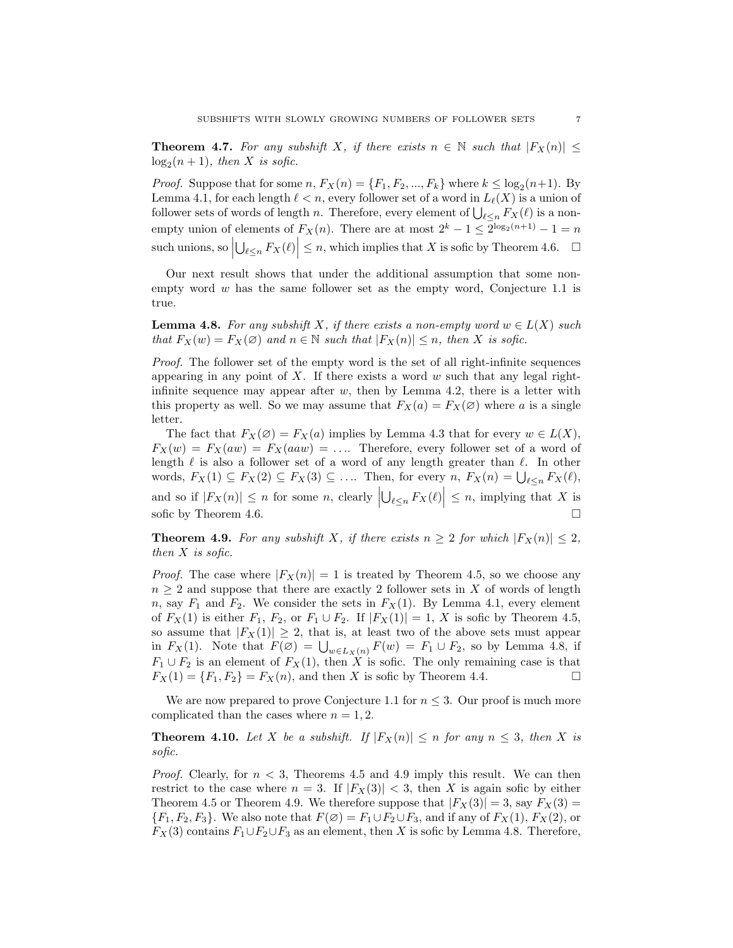**Theorem 4.7.** For any subshift X, if there exists  $n \in \mathbb{N}$  such that  $|F_X(n)| \le$  $log_2(n+1)$ , then X is sofic.

*Proof.* Suppose that for some  $n, F_X(n) = \{F_1, F_2, ..., F_k\}$  where  $k \leq \log_2(n+1)$ . By Lemma 4.1, for each length  $\ell < n$ , every follower set of a word in  $L_{\ell}(X)$  is a union of follower sets of words of length n. Therefore, every element of  $\bigcup_{\ell \leq n} F_X(\ell)$  is a nonempty union of elements of  $F_X(n)$ . There are at most  $2^k - 1 \leq 2^{\log_2(n+1)} - 1 = n$ such unions, so  $\left|\bigcup_{\ell \leq n} F_X(\ell)\right| \leq n$ , which implies that X is sofic by Theorem 4.6.  $\Box$ 

Our next result shows that under the additional assumption that some nonempty word  $w$  has the same follower set as the empty word, Conjecture 1.1 is true.

**Lemma 4.8.** For any subshift X, if there exists a non-empty word  $w \in L(X)$  such that  $F_X(w) = F_X(\emptyset)$  and  $n \in \mathbb{N}$  such that  $|F_X(n)| \leq n$ , then X is sofic.

Proof. The follower set of the empty word is the set of all right-infinite sequences appearing in any point of X. If there exists a word  $w$  such that any legal rightinfinite sequence may appear after  $w$ , then by Lemma 4.2, there is a letter with this property as well. So we may assume that  $F_X(a) = F_X(\emptyset)$  where a is a single letter.

The fact that  $F_X(\emptyset) = F_X(a)$  implies by Lemma 4.3 that for every  $w \in L(X)$ ,  $F_X(w) = F_X(aw) = F_X(aw) = \dots$  Therefore, every follower set of a word of length  $\ell$  is also a follower set of a word of any length greater than  $\ell$ . In other words,  $F_X(1) \subseteq F_X(2) \subseteq F_X(3) \subseteq \ldots$  Then, for every  $n, F_X(n) = \bigcup_{\ell \leq n} F_X(\ell)$ , and so if  $|F_X(n)| \leq n$  for some n, clearly  $|\bigcup_{\ell \leq n} F_X(\ell)| \leq n$ , implying that X is sofic by Theorem 4.6.

**Theorem 4.9.** For any subshift X, if there exists  $n \geq 2$  for which  $|F_X(n)| \leq 2$ , then  $X$  is sofic.

*Proof.* The case where  $|F_X(n)| = 1$  is treated by Theorem 4.5, so we choose any  $n \geq 2$  and suppose that there are exactly 2 follower sets in X of words of length n, say  $F_1$  and  $F_2$ . We consider the sets in  $F_X(1)$ . By Lemma 4.1, every element of  $F_X(1)$  is either  $F_1$ ,  $F_2$ , or  $F_1 \cup F_2$ . If  $|F_X(1)| = 1$ , X is sofic by Theorem 4.5, so assume that  $|F_X(1)| \geq 2$ , that is, at least two of the above sets must appear in  $F_X(1)$ . Note that  $F(\emptyset) = \bigcup_{w \in L_X(n)} F(w) = F_1 \cup F_2$ , so by Lemma 4.8, if  $F_1 \cup F_2$  is an element of  $F_X(1)$ , then X is sofic. The only remaining case is that  $F_X(1) = \{F_1, F_2\} = F_X(n)$ , and then X is sofic by Theorem 4.4.

We are now prepared to prove Conjecture 1.1 for  $n \leq 3$ . Our proof is much more complicated than the cases where  $n = 1, 2$ .

**Theorem 4.10.** Let X be a subshift. If  $|F_X(n)| \le n$  for any  $n \le 3$ , then X is sofic.

*Proof.* Clearly, for  $n < 3$ , Theorems 4.5 and 4.9 imply this result. We can then restrict to the case where  $n = 3$ . If  $|F_X(3)| < 3$ , then X is again sofic by either Theorem 4.5 or Theorem 4.9. We therefore suppose that  $|F_X(3)| = 3$ , say  $F_X(3) =$  ${F_1, F_2, F_3}$ . We also note that  $F(\emptyset) = F_1 \cup F_2 \cup F_3$ , and if any of  $F_X(1)$ ,  $F_X(2)$ , or  $F_X(3)$  contains  $F_1 \cup F_2 \cup F_3$  as an element, then X is sofic by Lemma 4.8. Therefore,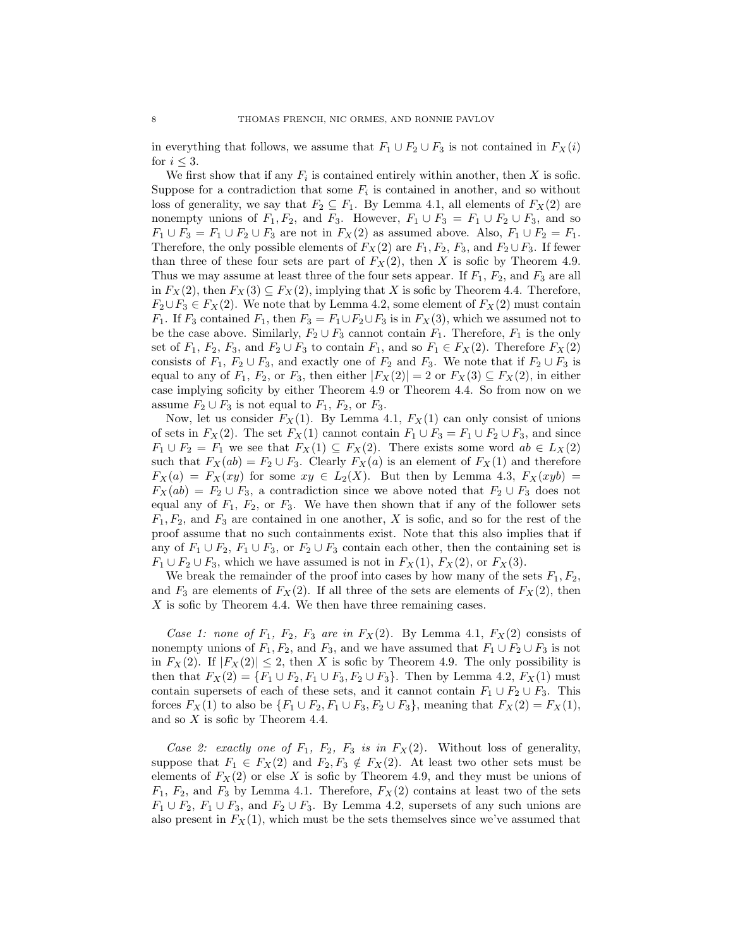in everything that follows, we assume that  $F_1 \cup F_2 \cup F_3$  is not contained in  $F_X(i)$ for  $i \leq 3$ .

We first show that if any  $F_i$  is contained entirely within another, then X is sofic. Suppose for a contradiction that some  $F_i$  is contained in another, and so without loss of generality, we say that  $F_2 \subseteq F_1$ . By Lemma 4.1, all elements of  $F_\text{X}(2)$  are nonempty unions of  $F_1, F_2$ , and  $F_3$ . However,  $F_1 \cup F_3 = F_1 \cup F_2 \cup F_3$ , and so  $F_1 \cup F_3 = F_1 \cup F_2 \cup F_3$  are not in  $F_X(2)$  as assumed above. Also,  $F_1 \cup F_2 = F_1$ . Therefore, the only possible elements of  $F_X(2)$  are  $F_1, F_2, F_3$ , and  $F_2 \cup F_3$ . If fewer than three of these four sets are part of  $F_X(2)$ , then X is sofic by Theorem 4.9. Thus we may assume at least three of the four sets appear. If  $F_1$ ,  $F_2$ , and  $F_3$  are all in  $F_X(2)$ , then  $F_X(3) \subseteq F_X(2)$ , implying that X is sofic by Theorem 4.4. Therefore,  $F_2 \cup F_3 \in F_X(2)$ . We note that by Lemma 4.2, some element of  $F_X(2)$  must contain  $F_1$ . If  $F_3$  contained  $F_1$ , then  $F_3 = F_1 \cup F_2 \cup F_3$  is in  $F_X(3)$ , which we assumed not to be the case above. Similarly,  $F_2 \cup F_3$  cannot contain  $F_1$ . Therefore,  $F_1$  is the only set of  $F_1$ ,  $F_2$ ,  $F_3$ , and  $F_2 \cup F_3$  to contain  $F_1$ , and so  $F_1 \in F_X(2)$ . Therefore  $F_X(2)$ consists of  $F_1, F_2 \cup F_3$ , and exactly one of  $F_2$  and  $F_3$ . We note that if  $F_2 \cup F_3$  is equal to any of  $F_1$ ,  $F_2$ , or  $F_3$ , then either  $|F_X(2)| = 2$  or  $F_X(3) \subseteq F_X(2)$ , in either case implying soficity by either Theorem 4.9 or Theorem 4.4. So from now on we assume  $F_2 \cup F_3$  is not equal to  $F_1$ ,  $F_2$ , or  $F_3$ .

Now, let us consider  $F_X(1)$ . By Lemma 4.1,  $F_X(1)$  can only consist of unions of sets in  $F_X(2)$ . The set  $F_X(1)$  cannot contain  $F_1 \cup F_3 = F_1 \cup F_2 \cup F_3$ , and since  $F_1 \cup F_2 = F_1$  we see that  $F_X(1) \subseteq F_X(2)$ . There exists some word  $ab \in L_X(2)$ such that  $F_X(ab) = F_2 \cup F_3$ . Clearly  $F_X(a)$  is an element of  $F_X(1)$  and therefore  $F_X(a) = F_X(xy)$  for some  $xy \in L_2(X)$ . But then by Lemma 4.3,  $F_X(xyb) =$  $F_X(ab) = F_2 \cup F_3$ , a contradiction since we above noted that  $F_2 \cup F_3$  does not equal any of  $F_1$ ,  $F_2$ , or  $F_3$ . We have then shown that if any of the follower sets  $F_1, F_2$ , and  $F_3$  are contained in one another, X is sofic, and so for the rest of the proof assume that no such containments exist. Note that this also implies that if any of  $F_1 \cup F_2$ ,  $F_1 \cup F_3$ , or  $F_2 \cup F_3$  contain each other, then the containing set is  $F_1 \cup F_2 \cup F_3$ , which we have assumed is not in  $F_X(1)$ ,  $F_X(2)$ , or  $F_X(3)$ .

We break the remainder of the proof into cases by how many of the sets  $F_1, F_2$ , and  $F_3$  are elements of  $F_X(2)$ . If all three of the sets are elements of  $F_X(2)$ , then  $X$  is sofic by Theorem 4.4. We then have three remaining cases.

Case 1: none of  $F_1$ ,  $F_2$ ,  $F_3$  are in  $F_X(2)$ . By Lemma 4.1,  $F_X(2)$  consists of nonempty unions of  $F_1, F_2$ , and  $F_3$ , and we have assumed that  $F_1 \cup F_2 \cup F_3$  is not in  $F_X(2)$ . If  $|F_X(2)| \leq 2$ , then X is sofic by Theorem 4.9. The only possibility is then that  $F_X(2) = \{F_1 \cup F_2, F_1 \cup F_3, F_2 \cup F_3\}$ . Then by Lemma 4.2,  $F_X(1)$  must contain supersets of each of these sets, and it cannot contain  $F_1 \cup F_2 \cup F_3$ . This forces  $F_X(1)$  to also be  $\{F_1 \cup F_2, F_1 \cup F_3, F_2 \cup F_3\}$ , meaning that  $F_X(2) = F_X(1)$ , and so X is sofic by Theorem 4.4.

Case 2: exactly one of  $F_1$ ,  $F_2$ ,  $F_3$  is in  $F_X(2)$ . Without loss of generality, suppose that  $F_1 \in F_X(2)$  and  $F_2, F_3 \notin F_X(2)$ . At least two other sets must be elements of  $F_X(2)$  or else X is sofic by Theorem 4.9, and they must be unions of  $F_1, F_2$ , and  $F_3$  by Lemma 4.1. Therefore,  $F_X(2)$  contains at least two of the sets  $F_1 \cup F_2$ ,  $F_1 \cup F_3$ , and  $F_2 \cup F_3$ . By Lemma 4.2, supersets of any such unions are also present in  $F_X(1)$ , which must be the sets themselves since we've assumed that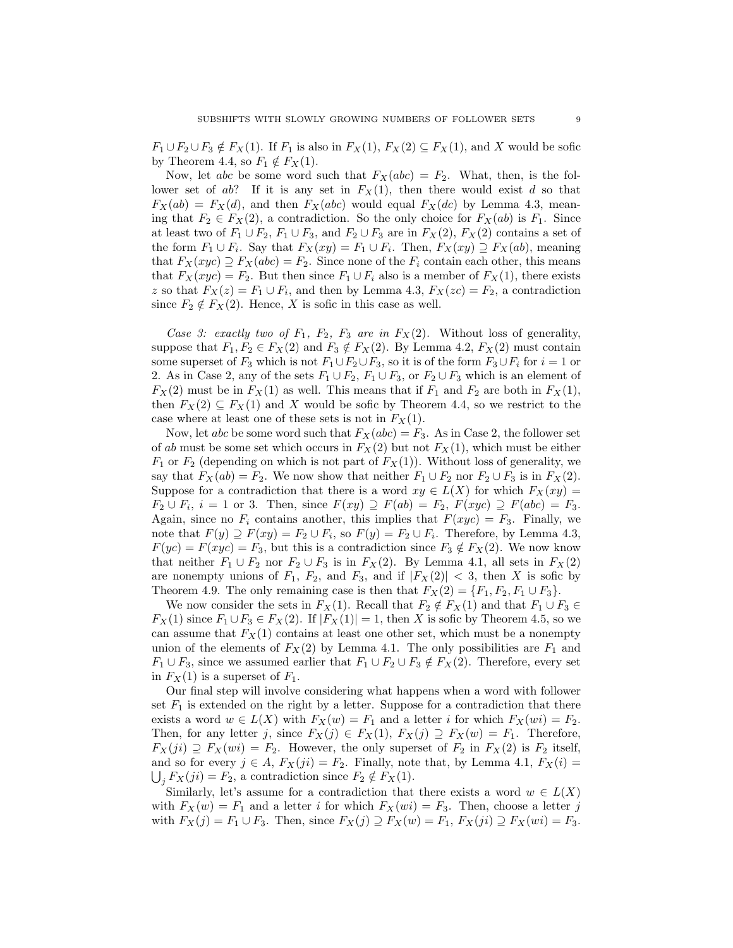$F_1 \cup F_2 \cup F_3 \notin F_X(1)$ . If  $F_1$  is also in  $F_X(1)$ ,  $F_X(2) \subseteq F_X(1)$ , and X would be sofic by Theorem 4.4, so  $F_1 \notin F_X(1)$ .

Now, let abc be some word such that  $F_X(abc) = F_2$ . What, then, is the follower set of ab? If it is any set in  $F_X(1)$ , then there would exist d so that  $F_X(ab) = F_X(d)$ , and then  $F_X(abc)$  would equal  $F_X(dc)$  by Lemma 4.3, meaning that  $F_2 \in F_X(2)$ , a contradiction. So the only choice for  $F_X(ab)$  is  $F_1$ . Since at least two of  $F_1 \cup F_2$ ,  $F_1 \cup F_3$ , and  $F_2 \cup F_3$  are in  $F_X(2)$ ,  $F_X(2)$  contains a set of the form  $F_1 \cup F_i$ . Say that  $F_X(xy) = F_1 \cup F_i$ . Then,  $F_X(xy) \supseteq F_X(ab)$ , meaning that  $F_X(xyc) \supseteq F_X(abc) = F_2$ . Since none of the  $F_i$  contain each other, this means that  $F_X(xyc) = F_2$ . But then since  $F_1 \cup F_i$  also is a member of  $F_X(1)$ , there exists z so that  $F_X(z) = F_1 \cup F_i$ , and then by Lemma 4.3,  $F_X(zc) = F_2$ , a contradiction since  $F_2 \notin F_X(2)$ . Hence, X is sofic in this case as well.

Case 3: exactly two of  $F_1$ ,  $F_2$ ,  $F_3$  are in  $F_X(2)$ . Without loss of generality, suppose that  $F_1, F_2 \in F_X(2)$  and  $F_3 \notin F_X(2)$ . By Lemma 4.2,  $F_X(2)$  must contain some superset of  $F_3$  which is not  $F_1 \cup F_2 \cup F_3$ , so it is of the form  $F_3 \cup F_i$  for  $i = 1$  or 2. As in Case 2, any of the sets  $F_1 \cup F_2$ ,  $F_1 \cup F_3$ , or  $F_2 \cup F_3$  which is an element of  $F_X(2)$  must be in  $F_X(1)$  as well. This means that if  $F_1$  and  $F_2$  are both in  $F_X(1)$ , then  $F_X(2) \subseteq F_X(1)$  and X would be sofic by Theorem 4.4, so we restrict to the case where at least one of these sets is not in  $F_X(1)$ .

Now, let abc be some word such that  $F_X(abc) = F_3$ . As in Case 2, the follower set of ab must be some set which occurs in  $F_X(2)$  but not  $F_X(1)$ , which must be either  $F_1$  or  $F_2$  (depending on which is not part of  $F_X(1)$ ). Without loss of generality, we say that  $F_X(ab) = F_2$ . We now show that neither  $F_1 \cup F_2$  nor  $F_2 \cup F_3$  is in  $F_X(2)$ . Suppose for a contradiction that there is a word  $xy \in L(X)$  for which  $F_X(xy) =$  $F_2 \cup F_i$ ,  $i = 1$  or 3. Then, since  $F(xy) \supseteq F(ab) = F_2$ ,  $F(xyc) \supseteq F(abc) = F_3$ . Again, since no  $F_i$  contains another, this implies that  $F(xyc) = F_3$ . Finally, we note that  $F(y) \supseteq F(xy) = F_2 \cup F_i$ , so  $F(y) = F_2 \cup F_i$ . Therefore, by Lemma 4.3,  $F(yc) = F(xyc) = F_3$ , but this is a contradiction since  $F_3 \notin F_X(2)$ . We now know that neither  $F_1 \cup F_2$  nor  $F_2 \cup F_3$  is in  $F_X(2)$ . By Lemma 4.1, all sets in  $F_X(2)$ are nonempty unions of  $F_1$ ,  $F_2$ , and  $F_3$ , and if  $|F_X(2)| < 3$ , then X is sofic by Theorem 4.9. The only remaining case is then that  $F_X(2) = \{F_1, F_2, F_1 \cup F_3\}.$ 

We now consider the sets in  $F_X(1)$ . Recall that  $F_2 \notin F_X(1)$  and that  $F_1 \cup F_3 \in$  $F_X(1)$  since  $F_1 \cup F_3 \in F_X(2)$ . If  $|F_X(1)| = 1$ , then X is sofic by Theorem 4.5, so we can assume that  $F_X(1)$  contains at least one other set, which must be a nonempty union of the elements of  $F_X(2)$  by Lemma 4.1. The only possibilities are  $F_1$  and  $F_1 \cup F_3$ , since we assumed earlier that  $F_1 \cup F_2 \cup F_3 \notin F_X(2)$ . Therefore, every set in  $F_X(1)$  is a superset of  $F_1$ .

Our final step will involve considering what happens when a word with follower set  $F_1$  is extended on the right by a letter. Suppose for a contradiction that there exists a word  $w \in L(X)$  with  $F_X(w) = F_1$  and a letter i for which  $F_X(wi) = F_2$ . Then, for any letter j, since  $F_X(j) \in F_X(1)$ ,  $F_X(j) \supseteq F_X(w) = F_1$ . Therefore,  $F_X(ji) \supseteq F_X(wi) = F_2$ . However, the only superset of  $F_2$  in  $F_X(2)$  is  $F_2$  itself, and so for every  $j \in A$ ,  $F_X(ji) = F_2$ . Finally, note that, by Lemma 4.1,  $F_X(i) =$  $\bigcup_j F_X(ji) = F_2$ , a contradiction since  $F_2 \notin F_X(1)$ .

Similarly, let's assume for a contradiction that there exists a word  $w \in L(X)$ with  $F_X(w) = F_1$  and a letter i for which  $F_X(wi) = F_3$ . Then, choose a letter j with  $F_X(j) = F_1 \cup F_3$ . Then, since  $F_X(j) \supseteq F_X(w) = F_1, F_X(ji) \supseteq F_X(wi) = F_3$ .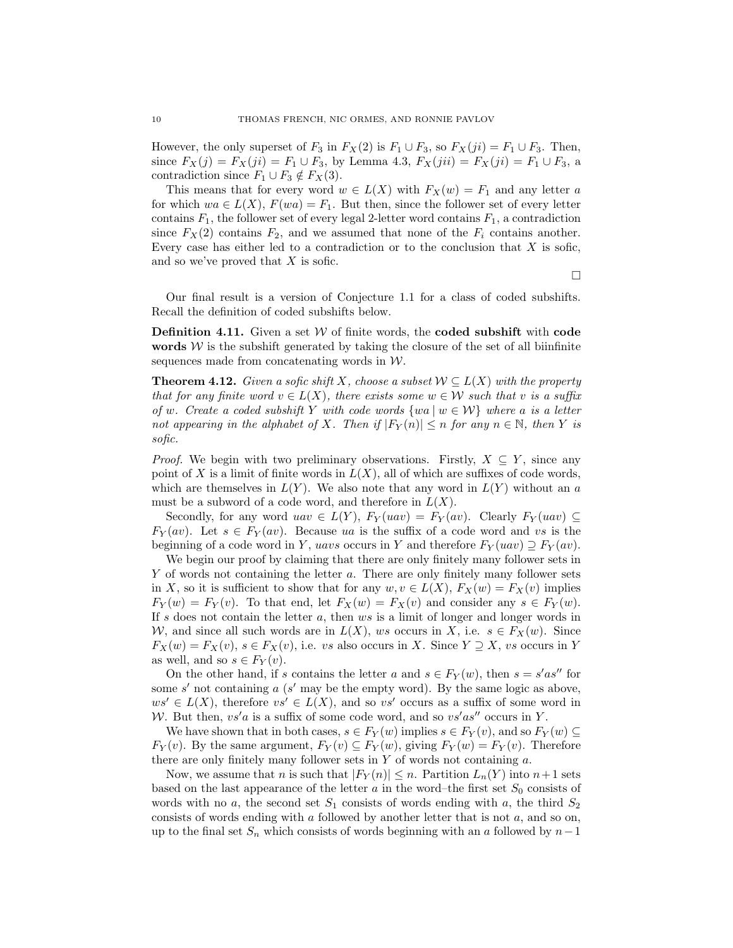However, the only superset of  $F_3$  in  $F_X(2)$  is  $F_1 \cup F_3$ , so  $F_X(ji) = F_1 \cup F_3$ . Then, since  $F_X(j) = F_X(ji) = F_1 \cup F_3$ , by Lemma 4.3,  $F_X(jii) = F_X(ji) = F_1 \cup F_3$ , a contradiction since  $F_1 \cup F_3 \notin F_X(3)$ .

This means that for every word  $w \in L(X)$  with  $F_X(w) = F_1$  and any letter a for which  $wa \in L(X)$ ,  $F(wa) = F_1$ . But then, since the follower set of every letter contains  $F_1$ , the follower set of every legal 2-letter word contains  $F_1$ , a contradiction since  $F_X(2)$  contains  $F_2$ , and we assumed that none of the  $F_i$  contains another. Every case has either led to a contradiction or to the conclusion that  $X$  is sofic, and so we've proved that  $X$  is sofic.

 $\Box$ 

Our final result is a version of Conjecture 1.1 for a class of coded subshifts. Recall the definition of coded subshifts below.

**Definition 4.11.** Given a set  $W$  of finite words, the **coded subshift** with **code** words  $W$  is the subshift generated by taking the closure of the set of all biinfinite sequences made from concatenating words in  $W$ .

**Theorem 4.12.** Given a sofic shift X, choose a subset  $\mathcal{W} \subseteq L(X)$  with the property that for any finite word  $v \in L(X)$ , there exists some  $w \in \mathcal{W}$  such that v is a suffix of w. Create a coded subshift Y with code words  $\{wa \mid w \in \mathcal{W}\}\$  where a is a letter not appearing in the alphabet of X. Then if  $|F_Y(n)| \leq n$  for any  $n \in \mathbb{N}$ , then Y is sofic.

*Proof.* We begin with two preliminary observations. Firstly,  $X \subseteq Y$ , since any point of X is a limit of finite words in  $L(X)$ , all of which are suffixes of code words, which are themselves in  $L(Y)$ . We also note that any word in  $L(Y)$  without an a must be a subword of a code word, and therefore in  $L(X)$ .

Secondly, for any word  $uav \in L(Y)$ ,  $F_Y( uav ) = F_Y(av)$ . Clearly  $F_Y( uav ) \subseteq$  $F_Y(av)$ . Let  $s \in F_Y(av)$ . Because ua is the suffix of a code word and vs is the beginning of a code word in Y, uavs occurs in Y and therefore  $F_Y(ux) \supseteq F_Y(av)$ .

We begin our proof by claiming that there are only finitely many follower sets in Y of words not containing the letter a. There are only finitely many follower sets in X, so it is sufficient to show that for any  $w, v \in L(X)$ ,  $F_X(w) = F_X(v)$  implies  $F_Y(w) = F_Y(v)$ . To that end, let  $F_X(w) = F_X(v)$  and consider any  $s \in F_Y(w)$ . If s does not contain the letter  $a$ , then  $ws$  is a limit of longer and longer words in W, and since all such words are in  $L(X)$ , ws occurs in X, i.e.  $s \in F_X(w)$ . Since  $F_X(w) = F_X(v)$ ,  $s \in F_X(v)$ , i.e. vs also occurs in X. Since  $Y \supseteq X$ , vs occurs in Y as well, and so  $s \in F_Y(v)$ .

On the other hand, if s contains the letter a and  $s \in F_Y(w)$ , then  $s = s'as''$  for some  $s'$  not containing  $a$  ( $s'$  may be the empty word). By the same logic as above,  $ws' \in L(X)$ , therefore  $vs' \in L(X)$ , and so vs' occurs as a suffix of some word in W. But then,  $vs'a$  is a suffix of some code word, and so  $vs'as''$  occurs in Y.

We have shown that in both cases,  $s \in F_Y(w)$  implies  $s \in F_Y(v)$ , and so  $F_Y(w) \subseteq$  $F_Y(v)$ . By the same argument,  $F_Y(v) \subseteq F_Y(w)$ , giving  $F_Y(w) = F_Y(v)$ . Therefore there are only finitely many follower sets in  $Y$  of words not containing  $a$ .

Now, we assume that *n* is such that  $|F_Y(n)| \leq n$ . Partition  $L_n(Y)$  into  $n+1$  sets based on the last appearance of the letter  $a$  in the word–the first set  $S_0$  consists of words with no a, the second set  $S_1$  consists of words ending with a, the third  $S_2$ consists of words ending with  $a$  followed by another letter that is not  $a$ , and so on, up to the final set  $S_n$  which consists of words beginning with an a followed by  $n-1$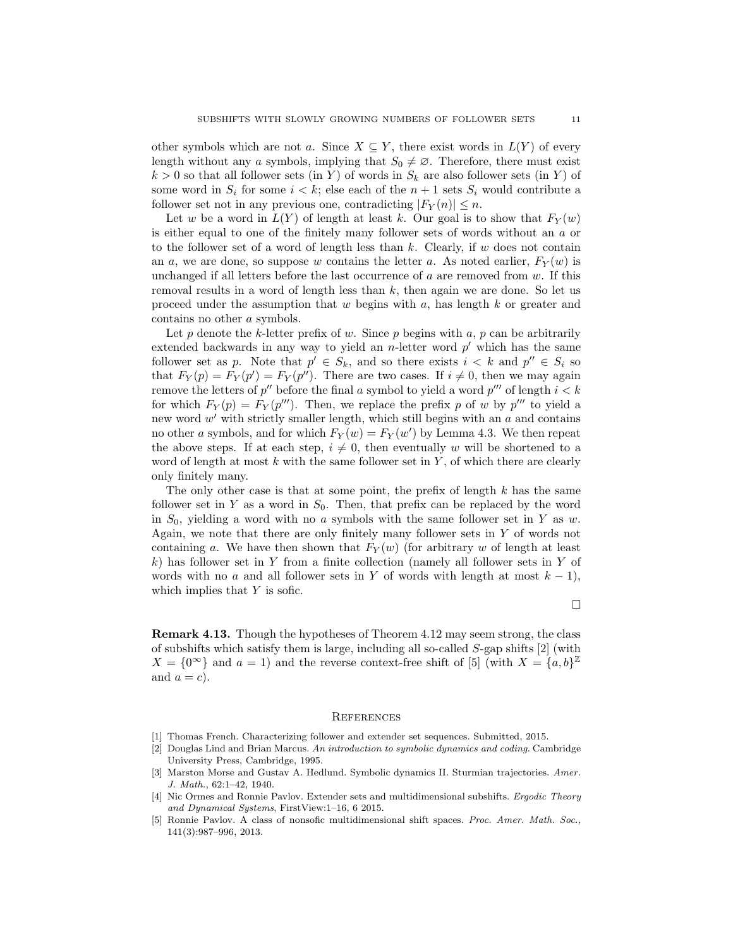other symbols which are not a. Since  $X \subseteq Y$ , there exist words in  $L(Y)$  of every length without any a symbols, implying that  $S_0 \neq \emptyset$ . Therefore, there must exist  $k > 0$  so that all follower sets (in Y) of words in  $S_k$  are also follower sets (in Y) of some word in  $S_i$  for some  $i < k$ ; else each of the  $n + 1$  sets  $S_i$  would contribute a follower set not in any previous one, contradicting  $|F_Y(n)| \leq n$ .

Let w be a word in  $L(Y)$  of length at least k. Our goal is to show that  $F_Y(w)$ is either equal to one of the finitely many follower sets of words without an a or to the follower set of a word of length less than  $k$ . Clearly, if  $w$  does not contain an a, we are done, so suppose w contains the letter a. As noted earlier,  $F_Y(w)$  is unchanged if all letters before the last occurrence of  $a$  are removed from  $w$ . If this removal results in a word of length less than  $k$ , then again we are done. So let us proceed under the assumption that  $w$  begins with  $a$ , has length  $k$  or greater and contains no other a symbols.

Let p denote the k-letter prefix of w. Since p begins with a, p can be arbitrarily extended backwards in any way to yield an  $n$ -letter word  $p'$  which has the same follower set as p. Note that  $p' \in S_k$ , and so there exists  $i < k$  and  $p'' \in S_i$  so that  $F_Y(p) = F_Y(p') = F_Y(p'')$ . There are two cases. If  $i \neq 0$ , then we may again remove the letters of  $p''$  before the final a symbol to yield a word  $p'''$  of length  $i < k$ for which  $F_Y(p) = F_Y(p^{\prime\prime\prime})$ . Then, we replace the prefix p of w by  $p^{\prime\prime\prime}$  to yield a new word  $w'$  with strictly smaller length, which still begins with an  $a$  and contains no other a symbols, and for which  $F_Y(w) = F_Y(w')$  by Lemma 4.3. We then repeat the above steps. If at each step,  $i \neq 0$ , then eventually w will be shortened to a word of length at most  $k$  with the same follower set in  $Y$ , of which there are clearly only finitely many.

The only other case is that at some point, the prefix of length  $k$  has the same follower set in Y as a word in  $S_0$ . Then, that prefix can be replaced by the word in  $S_0$ , yielding a word with no a symbols with the same follower set in Y as w. Again, we note that there are only finitely many follower sets in Y of words not containing a. We have then shown that  $F_Y(w)$  (for arbitrary w of length at least k) has follower set in Y from a finite collection (namely all follower sets in Y of words with no a and all follower sets in Y of words with length at most  $k - 1$ , which implies that Y is sofic.

 $\Box$ 

Remark 4.13. Though the hypotheses of Theorem 4.12 may seem strong, the class of subshifts which satisfy them is large, including all so-called S-gap shifts [2] (with  $X = \{0^{\infty}\}\$ and  $a = 1$ ) and the reverse context-free shift of [5] (with  $X = \{a, b\}^{\mathbb{Z}}$ and  $a = c$ ).

# **REFERENCES**

- [1] Thomas French. Characterizing follower and extender set sequences. Submitted, 2015.
- [2] Douglas Lind and Brian Marcus. An introduction to symbolic dynamics and coding. Cambridge University Press, Cambridge, 1995.
- [3] Marston Morse and Gustav A. Hedlund. Symbolic dynamics II. Sturmian trajectories. Amer. J. Math., 62:1–42, 1940.
- [4] Nic Ormes and Ronnie Pavlov. Extender sets and multidimensional subshifts. Ergodic Theory and Dynamical Systems, FirstView:1–16, 6 2015.
- [5] Ronnie Pavlov. A class of nonsofic multidimensional shift spaces. Proc. Amer. Math. Soc., 141(3):987–996, 2013.